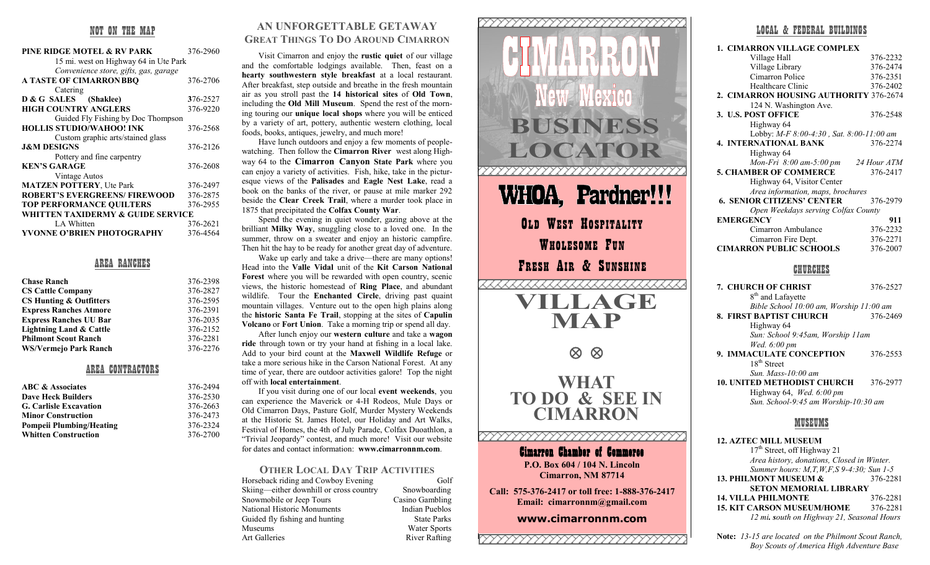# NOT ON THE MAP

| PINE RIDGE MOTEL & RV PARK            | 376-2960 |  |  |  |
|---------------------------------------|----------|--|--|--|
| 15 mi. west on Highway 64 in Ute Park |          |  |  |  |
| Convenience store, gifts, gas, garage |          |  |  |  |
| A TASTE OF CIMARRON BBQ               | 376-2706 |  |  |  |
| Catering                              |          |  |  |  |
| D & G SALES (Shaklee)                 | 376-2527 |  |  |  |
| <b>HIGH COUNTRY ANGLERS</b>           | 376-9220 |  |  |  |
| Guided Fly Fishing by Doc Thompson    |          |  |  |  |
| <b>HOLLIS STUDIO/WAHOO! INK</b>       | 376-2568 |  |  |  |
| Custom graphic arts/stained glass     |          |  |  |  |
| <b>J&amp;M DESIGNS</b>                | 376-2126 |  |  |  |
| Pottery and fine carpentry            |          |  |  |  |
| <b>KEN'S GARAGE</b>                   | 376-2608 |  |  |  |
| Vintage Autos                         |          |  |  |  |
| <b>MATZEN POTTERY, Ute Park</b>       | 376-2497 |  |  |  |
| <b>ROBERT'S EVERGREENS/ FIREWOOD</b>  | 376-2875 |  |  |  |
| <b>TOP PERFORMANCE OUILTERS</b>       | 376-2955 |  |  |  |
| WHITTEN TAXIDERMY & GUIDE SERVICE     |          |  |  |  |
| LA Whitten                            | 376-2621 |  |  |  |
| YVONNE O'BRIEN PHOTOGRAPHY            | 376-4564 |  |  |  |

# AREA RANCHES

| 376-2398 |
|----------|
| 376-2827 |
| 376-2595 |
| 376-2391 |
| 376-2035 |
| 376-2152 |
| 376-2281 |
| 376-2276 |
|          |

### AREA CONTRACTORS

**ABC & Associates** 376-2494 **Dave Heck Builders** 376-2530 **G. Carlisle Excavation** 376-2663 **Minor Construction** 376-2473 **Pompeii Plumbing/Heating** 376-2324 **Whitten Construction** 376-2700

# **AN UNFORGETTABLE GETAWAY GREAT THINGS TO DO AROUND CIMARRON**

Visit Cimarron and enjoy the **rustic quiet** of our village and the comfortable lodgings available. Then, feast on a **hearty southwestern style breakfast** at a local restaurant. After breakfast, step outside and breathe in the fresh mountain air as you stroll past the **14 historical sites** of **Old Town**, including the **Old Mill Museum**. Spend the rest of the morning touring our **unique local shops** where you will be enticed by a variety of art, pottery, authentic western clothing, local foods, books, antiques, jewelry, and much more!

Have lunch outdoors and enjoy a few moments of peoplewatching. Then follow the **Cimarron River** west along Highway 64 to the **Cimarron Canyon State Park** where you can enjoy a variety of activities. Fish, hike, take in the picturesque views of the **Palisades** and **Eagle Nest Lake**, read a book on the banks of the river, or pause at mile marker 292 beside the **Clear Creek Trail**, where a murder took place in 1875 that precipitated the **Colfax County War**.

Spend the evening in quiet wonder, gazing above at the brilliant **Milky Way**, snuggling close to a loved one. In the summer, throw on a sweater and enjoy an historic campfire. Then hit the hay to be ready for another great day of adventure.

Wake up early and take a drive—there are many options! Head into the **Valle Vidal** unit of the **Kit Carson National Forest** where you will be rewarded with open country, scenic views, the historic homestead of **Ring Place**, and abundant wildlife. Tour the **Enchanted Circle**, driving past quaint mountain villages. Venture out to the open high plains along the **historic Santa Fe Trail**, stopping at the sites of **Capulin Volcano** or **Fort Union**. Take a morning trip or spend all day.

After lunch enjoy our **western culture** and take a **wagon ride** through town or try your hand at fishing in a local lake. Add to your bird count at the **Maxwell Wildlife Refuge** or take a more serious hike in the Carson National Forest. At any time of year, there are outdoor activities galore! Top the night off with **local entertainment**.

If you visit during one of our local **event weekends**, you can experience the Maverick or 4-H Rodeos, Mule Days or Old Cimarron Days, Pasture Golf, Murder Mystery Weekends at the Historic St. James Hotel, our Holiday and Art Walks, Festival of Homes, the 4th of July Parade, Colfax Duoathlon, a "Trivial Jeopardy" contest, and much more! Visit our website for dates and contact information: **www.cimarronnm.com**.

#### **OTHER LOCAL DAY TRIP ACTIVITIES**

Horseback riding and Cowboy Evening Golf Skiing—either downhill or cross country Snowboarding Snowmobile or Jeep Tours Casino Gambling National Historic Monuments Indian Pueblos Guided fly fishing and hunting State Parks Museums Water Sports Art Galleries River Rafting



# LOCAL & FEDERAL BUILDINGS

| 1.  CIMARRON VILLAGE COMPLEX                  |          |
|-----------------------------------------------|----------|
| Village Hall                                  | 376-2232 |
| Village Library                               | 376-2474 |
| Cimarron Police                               | 376-2351 |
| Healthcare Clinic                             | 376-2402 |
| <b>2. CIMARRON HOUSING AUTHORITY 376-2674</b> |          |
| 124 N. Washington Ave.                        |          |
| 3. U.S. POST OFFICE                           | 376-2548 |
| Highway 64                                    |          |
| Lobby: M-F 8:00-4:30, Sat. 8:00-11:00 am      |          |
| 4. INTERNATIONAL BANK                         | 376-2274 |
| Highway 64                                    |          |
| Mon-Fri $8:00$ am-5:00 pm 24 Hour ATM         |          |
| 5. CHAMBER OF COMMERCE                        | 376-2417 |
| Highway 64, Visitor Center                    |          |
| Area information, maps, brochures             |          |
| <b>6. SENIOR CITIZENS' CENTER</b>             | 376-2979 |
| Open Weekdays serving Colfax County           |          |
| EMERGENCY                                     | 911      |
| Cimarron Ambulance                            | 376-2232 |
| Cimarron Fire Dept.                           | 376-2271 |
| <b>CIMARRON PUBLIC SCHOOLS</b>                | 376-2007 |
|                                               |          |

# CHURCHES

**7. CHURCH OF CHRIST** 376-2527 8<sup>th</sup> and Lafayette *Bible School 10:00 am, Worship 11:00 am* **8. FIRST BAPTIST CHURCH** 376-2469 Highway 64 *Sun: School 9:45am, Worship 11am Wed. 6:00 pm* **9. IMMACULATE CONCEPTION** 376-2553 18<sup>th</sup> Street *Sun. Mass-10:00 am*  **10. UNITED METHODIST CHURCH** 376-2977 Highway 64, *Wed. 6:00 pm Sun. School-9:45 am Worship-10:30 am*

### MUSEUMS

**12. AZTEC MILL MUSEUM**   $17<sup>th</sup>$  Street, off Highway 21 *Area history, donations, Closed in Winter. Summer hours: M,T,W,F,S 9-4:30; Sun 1-5* **13. PHILMONT MUSEUM &** 376-2281 **SETON MEMORIAL LIBRARY 14. VILLA PHILMONTE** 376-2281 **15. KIT CARSON MUSEUM/HOME** 376-2281 *12 mi. south on Highway 21, Seasonal Hours*

**Note:** *13-15 are located on the Philmont Scout Ranch, Boy Scouts of America High Adventure Base*